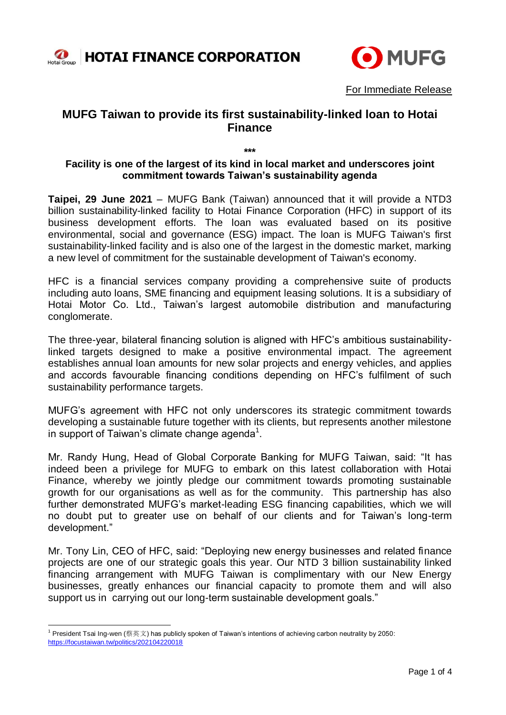



For Immediate Release

# **MUFG Taiwan to provide its first sustainability-linked loan to Hotai Finance**

**\*\*\***

## **Facility is one of the largest of its kind in local market and underscores joint commitment towards Taiwan's sustainability agenda**

**Taipei, 29 June 2021** – MUFG Bank (Taiwan) announced that it will provide a NTD3 billion sustainability-linked facility to Hotai Finance Corporation (HFC) in support of its business development efforts. The loan was evaluated based on its positive environmental, social and governance (ESG) impact. The loan is MUFG Taiwan's first sustainability-linked facility and is also one of the largest in the domestic market, marking a new level of commitment for the sustainable development of Taiwan's economy.

HFC is a financial services company providing a comprehensive suite of products including auto loans, SME financing and equipment leasing solutions. It is a subsidiary of Hotai Motor Co. Ltd., Taiwan's largest automobile distribution and manufacturing conglomerate.

The three-year, bilateral financing solution is aligned with HFC's ambitious sustainabilitylinked targets designed to make a positive environmental impact. The agreement establishes annual loan amounts for new solar projects and energy vehicles, and applies and accords favourable financing conditions depending on HFC's fulfilment of such sustainability performance targets.

MUFG's agreement with HFC not only underscores its strategic commitment towards developing a sustainable future together with its clients, but represents another milestone in support of Taiwan's climate change agenda $1$ .

Mr. Randy Hung, Head of Global Corporate Banking for MUFG Taiwan, said: "It has indeed been a privilege for MUFG to embark on this latest collaboration with Hotai Finance, whereby we jointly pledge our commitment towards promoting sustainable growth for our organisations as well as for the community. This partnership has also further demonstrated MUFG's market-leading ESG financing capabilities, which we will no doubt put to greater use on behalf of our clients and for Taiwan's long-term development."

Mr. Tony Lin, CEO of HFC, said: "Deploying new energy businesses and related finance projects are one of our strategic goals this year. Our NTD 3 billion sustainability linked financing arrangement with MUFG Taiwan is complimentary with our New Energy businesses, greatly enhances our financial capacity to promote them and will also support us in carrying out our long-term sustainable development goals."

<sup>-</sup> $^1$  President Tsai Ing-wen (蔡英文) has publicly spoken of Taiwan's intentions of achieving carbon neutrality by 2050: <https://focustaiwan.tw/politics/202104220018>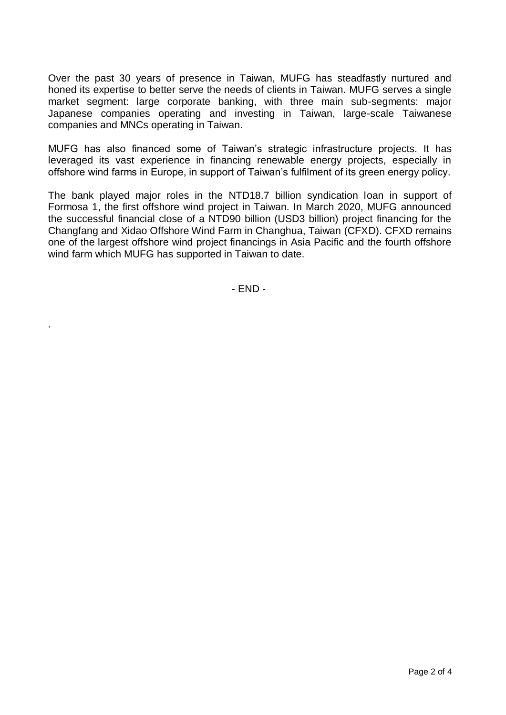Over the past 30 years of presence in Taiwan, MUFG has steadfastly nurtured and honed its expertise to better serve the needs of clients in Taiwan. MUFG serves a single market segment: large corporate banking, with three main sub-segments: major Japanese companies operating and investing in Taiwan, large-scale Taiwanese companies and MNCs operating in Taiwan.

MUFG has also financed some of Taiwan's strategic infrastructure projects. It has leveraged its vast experience in financing renewable energy projects, especially in offshore wind farms in Europe, in support of Taiwan's fulfilment of its green energy policy.

The bank played major roles in the NTD18.7 billion syndication loan in support of Formosa 1, the first offshore wind project in Taiwan. In March 2020, MUFG announced the successful financial close of a NTD90 billion (USD3 billion) project financing for the Changfang and Xidao Offshore Wind Farm in Changhua, Taiwan (CFXD). CFXD remains one of the largest offshore wind project financings in Asia Pacific and the fourth offshore wind farm which MUFG has supported in Taiwan to date.

- END -

.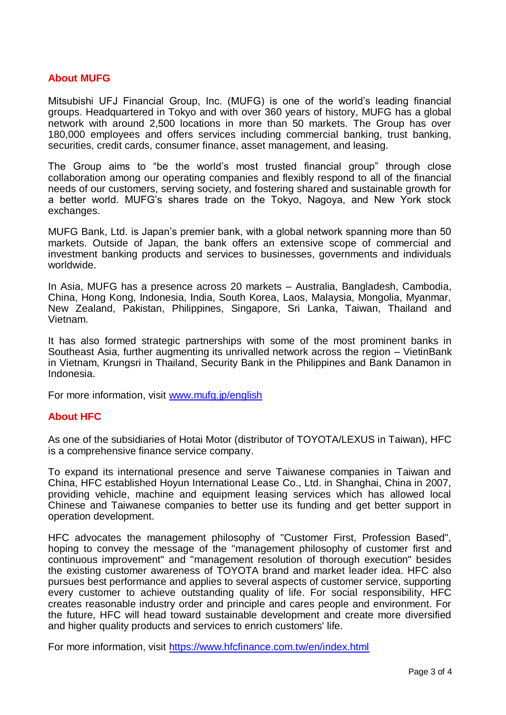## **About MUFG**

Mitsubishi UFJ Financial Group, Inc. (MUFG) is one of the world's leading financial groups. Headquartered in Tokyo and with over 360 years of history, MUFG has a global network with around 2,500 locations in more than 50 markets. The Group has over 180,000 employees and offers services including commercial banking, trust banking, securities, credit cards, consumer finance, asset management, and leasing.

The Group aims to "be the world's most trusted financial group" through close collaboration among our operating companies and flexibly respond to all of the financial needs of our customers, serving society, and fostering shared and sustainable growth for a better world. MUFG's shares trade on the Tokyo, Nagoya, and New York stock exchanges.

MUFG Bank, Ltd. is Japan's premier bank, with a global network spanning more than 50 markets. Outside of Japan, the bank offers an extensive scope of commercial and investment banking products and services to businesses, governments and individuals worldwide.

In Asia, MUFG has a presence across 20 markets – Australia, Bangladesh, Cambodia, China, Hong Kong, Indonesia, India, South Korea, Laos, Malaysia, Mongolia, Myanmar, New Zealand, Pakistan, Philippines, Singapore, Sri Lanka, Taiwan, Thailand and Vietnam.

It has also formed strategic partnerships with some of the most prominent banks in Southeast Asia, further augmenting its unrivalled network across the region – VietinBank in Vietnam, Krungsri in Thailand, Security Bank in the Philippines and Bank Danamon in Indonesia.

For more information, visit [www.mufg.jp/english](http://www.mufg.jp/english)

#### **About HFC**

As one of the subsidiaries of Hotai Motor (distributor of TOYOTA/LEXUS in Taiwan), HFC is a comprehensive finance service company.

To expand its international presence and serve Taiwanese companies in Taiwan and China, HFC established Hoyun International Lease Co., Ltd. in Shanghai, China in 2007, providing vehicle, machine and equipment leasing services which has allowed local Chinese and Taiwanese companies to better use its funding and get better support in operation development.

HFC advocates the management philosophy of "Customer First, Profession Based", hoping to convey the message of the "management philosophy of customer first and continuous improvement" and "management resolution of thorough execution" besides the existing customer awareness of TOYOTA brand and market leader idea. HFC also pursues best performance and applies to several aspects of customer service, supporting every customer to achieve outstanding quality of life. For social responsibility, HFC creates reasonable industry order and principle and cares people and environment. For the future, HFC will head toward sustainable development and create more diversified and higher quality products and services to enrich customers' life.

For more information, visit<https://www.hfcfinance.com.tw/en/index.html>